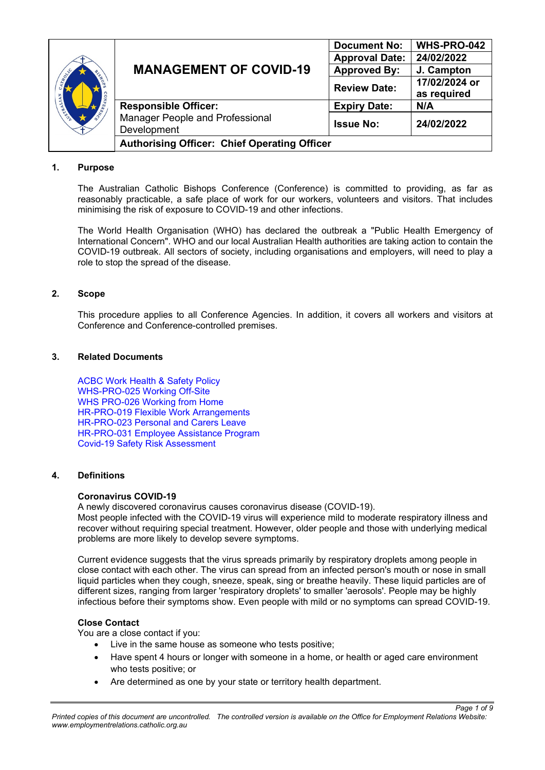| B-S-S-S-B             | <b>MANAGEMENT OF COVID-19</b>                       | <b>Document No:</b>   | WHS-PRO-042   |  |
|-----------------------|-----------------------------------------------------|-----------------------|---------------|--|
|                       |                                                     | <b>Approval Date:</b> | 24/02/2022    |  |
|                       |                                                     | <b>Approved By:</b>   | J. Campton    |  |
|                       |                                                     | <b>Review Date:</b>   | 17/02/2024 or |  |
| $\Omega$<br><b>NO</b> |                                                     |                       | as required   |  |
| CATHOLIC CATHOLIC     | <b>Responsible Officer:</b>                         | <b>Expiry Date:</b>   | N/A           |  |
|                       | <b>Manager People and Professional</b>              | <b>Issue No:</b>      | 24/02/2022    |  |
|                       | Development                                         |                       |               |  |
|                       | <b>Authorising Officer: Chief Operating Officer</b> |                       |               |  |

# **1. Purpose**

The Australian Catholic Bishops Conference (Conference) is committed to providing, as far as reasonably practicable, a safe place of work for our workers, volunteers and visitors. That includes minimising the risk of exposure to COVID-19 and other infections.

The World Health Organisation (WHO) has declared the outbreak a "Public Health Emergency of International Concern". WHO and our local Australian Health authorities are taking action to contain the COVID-19 outbreak. All sectors of society, including organisations and employers, will need to play a role to stop the spread of the disease.

### **2. Scope**

This procedure applies to all Conference Agencies. In addition, it covers all workers and visitors at Conference and Conference-controlled premises.

### **3. Related Documents**

[ACBC Work Health & Safety Policy](https://acbcsecure.sharepoint.com/:b:/s/PPD/EdQ7yunUT29Kpyc3C5zJM9YB30BdsoAgabrlh2HlXxK8UA?e=TjHM4w) [WHS-PRO-025 Working Off-Site](https://acbcsecure.sharepoint.com/:b:/s/PPD/Efzhe_9SLK5Crysll3BxmJkBDJbMgyJVUyn9B4EY9-u8jA?e=9F3dbc) WHS PRO-026 [Working from Home](https://acbcsecure.sharepoint.com/:b:/s/PPD/ETG77hK0C-ZBgBw4pwupXgkB6b1-lGpXW2nC_PIpSkuekw?e=4iQJfb) HR-PRO-019 [Flexible Work Arrangements](https://acbcsecure.sharepoint.com/:b:/s/PPD/EYwSBxBL2l5Pj0DBFkBx42oBANroKbAwJXD2yipWheEaBA?e=HDKrWy) HR-PRO-023 [Personal and Carers Leave](https://acbcsecure.sharepoint.com/:b:/s/PPD/EUVc3KZHeBhOqF5xOvydB_QBBIa8MS5d2GQtq6vrCstNQg?e=vHiH58) [HR-PRO-031 Employee Assistance Program](https://acbcsecure.sharepoint.com/:b:/s/PPD/ETdWwlknjulCkO19rbgIpu4BmgvlkoJ9lV20BlwDdzcJhQ?e=ETCOBP) [Covid-19 Safety Risk Assessment](https://acbcsecure.sharepoint.com/:b:/s/PPD/EcytXKihfGNDvgY8KQoXZ4wBa-FCtdsg_iyS1VIW_N5Fmw?e=OjA3Eu)

# **4. Definitions**

#### **Coronavirus COVID-19**

A newly discovered coronavirus causes coronavirus disease (COVID-19).

Most people infected with the COVID-19 virus will experience mild to moderate respiratory illness and recover without requiring special treatment. However, older people and those with underlying medical problems are more likely to develop severe symptoms.

Current evidence suggests that the virus spreads primarily by respiratory droplets among people in close contact with each other. The virus can spread from an infected person's mouth or nose in small liquid particles when they cough, sneeze, speak, sing or breathe heavily. These liquid particles are of different sizes, ranging from larger 'respiratory droplets' to smaller 'aerosols'. People may be highly infectious before their symptoms show. Even people with mild or no symptoms can spread COVID-19.

# **Close Contact**

You are a close contact if you:

- Live in the same house as someone who tests positive;
- Have spent 4 hours or longer with someone in a home, or health or aged care environment who tests positive; or

*Page 1 of 9*

Are determined as one by your state or territory health department.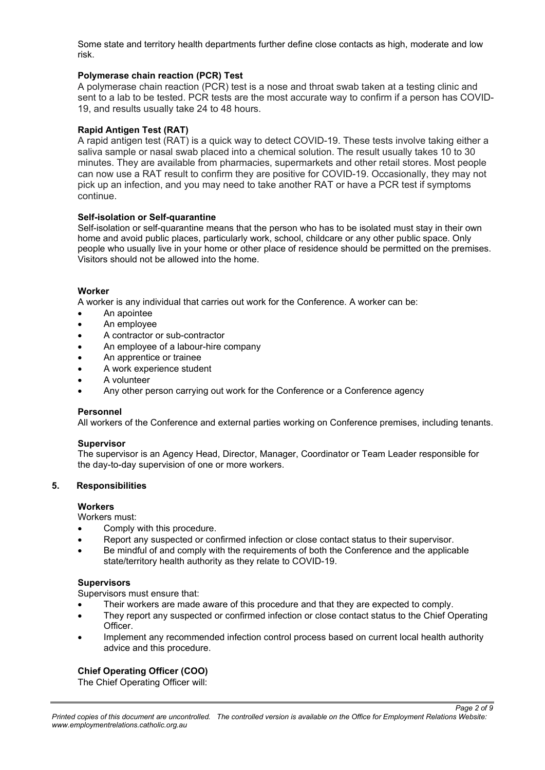Some state and territory health departments further define close contacts as high, moderate and low risk.

# **Polymerase chain reaction (PCR) Test**

A polymerase chain reaction (PCR) test is a nose and throat swab taken at a testing clinic and sent to a lab to be tested. PCR tests are the most accurate way to confirm if a person has COVID-19, and results usually take 24 to 48 hours.

### **Rapid Antigen Test (RAT)**

A rapid antigen test (RAT) is a quick way to detect COVID-19. These tests involve taking either a saliva sample or nasal swab placed into a chemical solution. The result usually takes 10 to 30 minutes. They are available from pharmacies, supermarkets and other retail stores. Most people can now use a RAT result to confirm they are positive for COVID-19. Occasionally, they may not pick up an infection, and you may need to take another RAT or have a PCR test if symptoms continue.

### **Self-isolation or Self-quarantine**

Self-isolation or self-quarantine means that the person who has to be isolated must stay in their own home and avoid public places, particularly work, school, childcare or any other public space. Only people who usually live in your home or other place of residence should be permitted on the premises. Visitors should not be allowed into the home.

#### **Worker**

A worker is any individual that carries out work for the Conference. A worker can be:

- An apointee
- An employee
- A contractor or sub-contractor
- An employee of a labour-hire company
- An apprentice or trainee
- A work experience student
- A volunteer
- Any other person carrying out work for the Conference or a Conference agency

#### **Personnel**

All workers of the Conference and external parties working on Conference premises, including tenants.

#### **Supervisor**

The supervisor is an Agency Head, Director, Manager, Coordinator or Team Leader responsible for the day-to-day supervision of one or more workers.

#### **5. Responsibilities**

## **Workers**

Workers must:

- Comply with this procedure.
- Report any suspected or confirmed infection or close contact status to their supervisor.
- Be mindful of and comply with the requirements of both the Conference and the applicable state/territory health authority as they relate to COVID-19.

#### **Supervisors**

Supervisors must ensure that:

- Their workers are made aware of this procedure and that they are expected to comply.
- They report any suspected or confirmed infection or close contact status to the Chief Operating Officer.
- Implement any recommended infection control process based on current local health authority advice and this procedure.

# **Chief Operating Officer (COO)**

The Chief Operating Officer will:

*Page 2 of 9*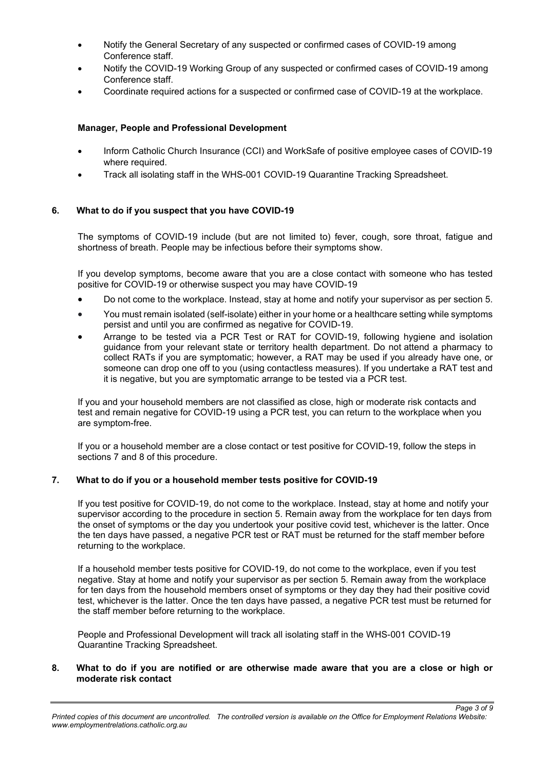- Notify the General Secretary of any suspected or confirmed cases of COVID-19 among Conference staff.
- Notify the COVID-19 Working Group of any suspected or confirmed cases of COVID-19 among Conference staff.
- Coordinate required actions for a suspected or confirmed case of COVID-19 at the workplace.

# **Manager, People and Professional Development**

- Inform Catholic Church Insurance (CCI) and WorkSafe of positive employee cases of COVID-19 where required.
- Track all isolating staff in the WHS-001 COVID-19 Quarantine Tracking Spreadsheet.

# **6. What to do if you suspect that you have COVID-19**

The symptoms of COVID-19 include (but are not limited to) fever, cough, sore throat, fatigue and shortness of breath. People may be infectious before their symptoms show.

If you develop symptoms, become aware that you are a close contact with someone who has tested positive for COVID-19 or otherwise suspect you may have COVID-19

- Do not come to the workplace. Instead, stay at home and notify your supervisor as per section 5.
- You must remain isolated (self-isolate) either in your home or a healthcare setting while symptoms persist and until you are confirmed as negative for COVID-19.
- Arrange to be tested via a PCR Test or RAT for COVID-19, following hygiene and isolation guidance from your relevant state or territory health department. Do not attend a pharmacy to collect RATs if you are symptomatic; however, a RAT may be used if you already have one, or someone can drop one off to you (using contactless measures). If you undertake a RAT test and it is negative, but you are symptomatic arrange to be tested via a PCR test.

If you and your household members are not classified as close, high or moderate risk contacts and test and remain negative for COVID-19 using a PCR test, you can return to the workplace when you are symptom-free.

If you or a household member are a close contact or test positive for COVID-19, follow the steps in sections 7 and 8 of this procedure.

# **7. What to do if you or a household member tests positive for COVID-19**

If you test positive for COVID-19, do not come to the workplace. Instead, stay at home and notify your supervisor according to the procedure in section 5. Remain away from the workplace for ten days from the onset of symptoms or the day you undertook your positive covid test, whichever is the latter. Once the ten days have passed, a negative PCR test or RAT must be returned for the staff member before returning to the workplace.

If a household member tests positive for COVID-19, do not come to the workplace, even if you test negative. Stay at home and notify your supervisor as per section 5. Remain away from the workplace for ten days from the household members onset of symptoms or they day they had their positive covid test, whichever is the latter. Once the ten days have passed, a negative PCR test must be returned for the staff member before returning to the workplace.

People and Professional Development will track all isolating staff in the WHS-001 COVID-19 Quarantine Tracking Spreadsheet.

# **8. What to do if you are notified or are otherwise made aware that you are a close or high or moderate risk contact**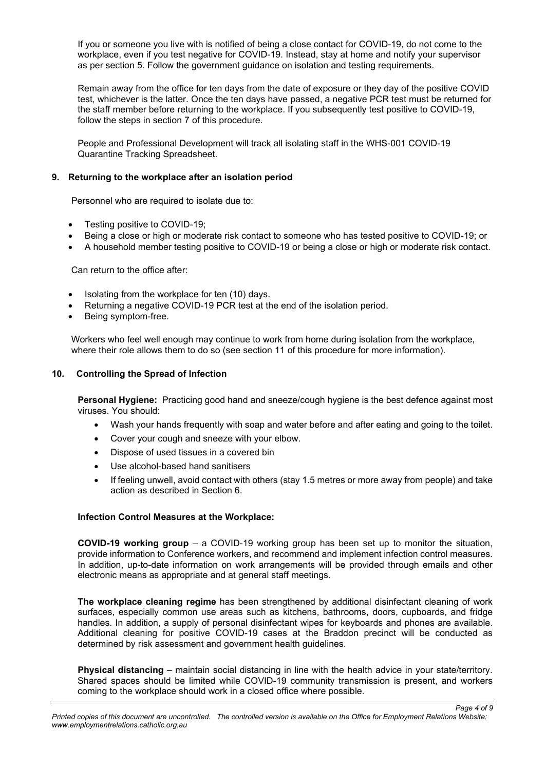If you or someone you live with is notified of being a close contact for COVID-19, do not come to the workplace, even if you test negative for COVID-19. Instead, stay at home and notify your supervisor as per section 5. Follow the government guidance on isolation and testing requirements.

Remain away from the office for ten days from the date of exposure or they day of the positive COVID test, whichever is the latter. Once the ten days have passed, a negative PCR test must be returned for the staff member before returning to the workplace. If you subsequently test positive to COVID-19, follow the steps in section 7 of this procedure.

People and Professional Development will track all isolating staff in the WHS-001 COVID-19 Quarantine Tracking Spreadsheet.

# **9. Returning to the workplace after an isolation period**

Personnel who are required to isolate due to:

- Testing positive to COVID-19;
- Being a close or high or moderate risk contact to someone who has tested positive to COVID-19; or
- A household member testing positive to COVID-19 or being a close or high or moderate risk contact.

Can return to the office after:

- Isolating from the workplace for ten (10) days.
- Returning a negative COVID-19 PCR test at the end of the isolation period.
- Being symptom-free.

Workers who feel well enough may continue to work from home during isolation from the workplace, where their role allows them to do so (see section 11 of this procedure for more information).

### **10. Controlling the Spread of Infection**

**Personal Hygiene:** Practicing good hand and sneeze/cough hygiene is the best defence against most viruses. You should:

- Wash your hands frequently with soap and water before and after eating and going to the toilet.
- Cover your cough and sneeze with your elbow.
- Dispose of used tissues in a covered bin
- Use alcohol-based hand sanitisers
- If feeling unwell, avoid contact with others (stay 1.5 metres or more away from people) and take action as described in Section 6.

### **Infection Control Measures at the Workplace:**

**COVID-19 working group** – a COVID-19 working group has been set up to monitor the situation, provide information to Conference workers, and recommend and implement infection control measures. In addition, up-to-date information on work arrangements will be provided through emails and other electronic means as appropriate and at general staff meetings.

**The workplace cleaning regime** has been strengthened by additional disinfectant cleaning of work surfaces, especially common use areas such as kitchens, bathrooms, doors, cupboards, and fridge handles. In addition, a supply of personal disinfectant wipes for keyboards and phones are available. Additional cleaning for positive COVID-19 cases at the Braddon precinct will be conducted as determined by risk assessment and government health guidelines.

**Physical distancing** – maintain social distancing in line with the health advice in your state/territory. Shared spaces should be limited while COVID-19 community transmission is present, and workers coming to the workplace should work in a closed office where possible.

*Page 4 of 9*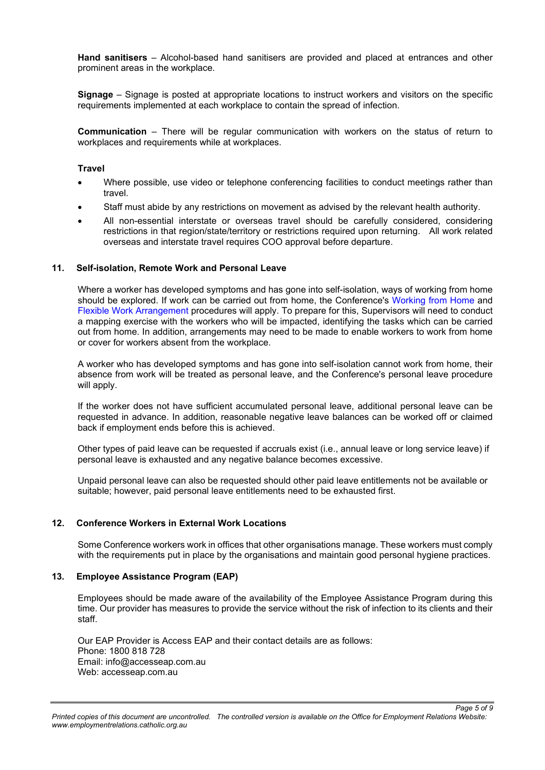**Hand sanitisers** – Alcohol-based hand sanitisers are provided and placed at entrances and other prominent areas in the workplace.

**Signage** – Signage is posted at appropriate locations to instruct workers and visitors on the specific requirements implemented at each workplace to contain the spread of infection.

**Communication** – There will be regular communication with workers on the status of return to workplaces and requirements while at workplaces.

#### **Travel**

- Where possible, use video or telephone conferencing facilities to conduct meetings rather than travel.
- Staff must abide by any restrictions on movement as advised by the relevant health authority.
- All non-essential interstate or overseas travel should be carefully considered, considering restrictions in that region/state/territory or restrictions required upon returning. All work related overseas and interstate travel requires COO approval before departure.

### **11. Self-isolation, Remote Work and Personal Leave**

Where a worker has developed symptoms and has gone into self-isolation, ways of working from home should be explored. If work can be carried out from home, the Conference's [Working from Home](https://acbcsecure.sharepoint.com/:b:/s/PPD/Efzhe_9SLK5Crysll3BxmJkBDJbMgyJVUyn9B4EY9-u8jA?e=9F3dbc) and [Flexible Work Arrangement](https://acbcsecure.sharepoint.com/:b:/s/PPD/EYwSBxBL2l5Pj0DBFkBx42oBANroKbAwJXD2yipWheEaBA?e=HDKrWy) procedures will apply. To prepare for this, Supervisors will need to conduct a mapping exercise with the workers who will be impacted, identifying the tasks which can be carried out from home. In addition, arrangements may need to be made to enable workers to work from home or cover for workers absent from the workplace.

A worker who has developed symptoms and has gone into self-isolation cannot work from home, their absence from work will be treated as personal leave, and the Conference's personal leave procedure will apply.

If the worker does not have sufficient accumulated personal leave, additional personal leave can be requested in advance. In addition, reasonable negative leave balances can be worked off or claimed back if employment ends before this is achieved.

Other types of paid leave can be requested if accruals exist (i.e., annual leave or long service leave) if personal leave is exhausted and any negative balance becomes excessive.

Unpaid personal leave can also be requested should other paid leave entitlements not be available or suitable; however, paid personal leave entitlements need to be exhausted first.

#### **12. Conference Workers in External Work Locations**

Some Conference workers work in offices that other organisations manage. These workers must comply with the requirements put in place by the organisations and maintain good personal hygiene practices.

#### **13. Employee Assistance Program (EAP)**

Employees should be made aware of the availability of the Employee Assistance Program during this time. Our provider has measures to provide the service without the risk of infection to its clients and their staff.

Our EAP Provider is Access EAP and their contact details are as follows: Phone: 1800 818 728 Email: info@accesseap.com.au Web: accesseap.com.au

*Page 5 of 9*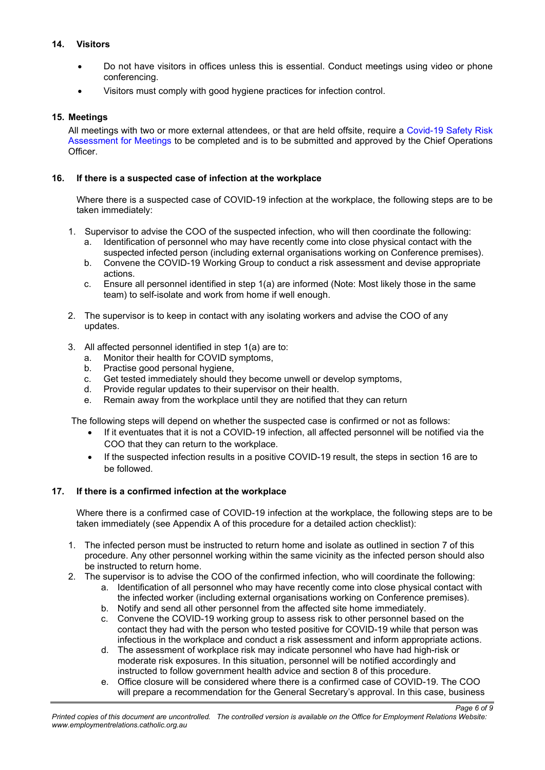# **14. Visitors**

- Do not have visitors in offices unless this is essential. Conduct meetings using video or phone conferencing.
- Visitors must comply with good hygiene practices for infection control.

# **15. Meetings**

All meetings with two or more external attendees, or that are held offsite, require a Covid-19 [Safety Risk](https://acbcsecure.sharepoint.com/:b:/s/PPD/EcytXKihfGNDvgY8KQoXZ4wBa-FCtdsg_iyS1VIW_N5Fmw?e=OjA3Eu)  [Assessment for Meetings](https://acbcsecure.sharepoint.com/:b:/s/PPD/EcytXKihfGNDvgY8KQoXZ4wBa-FCtdsg_iyS1VIW_N5Fmw?e=OjA3Eu) to be completed and is to be submitted and approved by the Chief Operations Officer.

# **16. If there is a suspected case of infection at the workplace**

Where there is a suspected case of COVID-19 infection at the workplace, the following steps are to be taken immediately:

- 1. Supervisor to advise the COO of the suspected infection, who will then coordinate the following:
	- a. Identification of personnel who may have recently come into close physical contact with the suspected infected person (including external organisations working on Conference premises).
	- b. Convene the COVID-19 Working Group to conduct a risk assessment and devise appropriate actions.
	- c. Ensure all personnel identified in step 1(a) are informed (Note: Most likely those in the same team) to self-isolate and work from home if well enough.
- 2. The supervisor is to keep in contact with any isolating workers and advise the COO of any updates.
- 3. All affected personnel identified in step 1(a) are to:
	- a. Monitor their health for COVID symptoms,
	- b. Practise good personal hygiene,
	- c. Get tested immediately should they become unwell or develop symptoms, d. Provide regular updates to their supervisor on their health.
	- Provide regular updates to their supervisor on their health.
	- e. Remain away from the workplace until they are notified that they can return

The following steps will depend on whether the suspected case is confirmed or not as follows:

- If it eventuates that it is not a COVID-19 infection, all affected personnel will be notified via the COO that they can return to the workplace.
- If the suspected infection results in a positive COVID-19 result, the steps in section 16 are to be followed.

# **17. If there is a confirmed infection at the workplace**

Where there is a confirmed case of COVID-19 infection at the workplace, the following steps are to be taken immediately (see Appendix A of this procedure for a detailed action checklist):

- 1. The infected person must be instructed to return home and isolate as outlined in section 7 of this procedure. Any other personnel working within the same vicinity as the infected person should also be instructed to return home.
- 2. The supervisor is to advise the COO of the confirmed infection, who will coordinate the following:
	- a. Identification of all personnel who may have recently come into close physical contact with the infected worker (including external organisations working on Conference premises).
		- b. Notify and send all other personnel from the affected site home immediately.
		- c. Convene the COVID-19 working group to assess risk to other personnel based on the contact they had with the person who tested positive for COVID-19 while that person was infectious in the workplace and conduct a risk assessment and inform appropriate actions.
	- d. The assessment of workplace risk may indicate personnel who have had high-risk or moderate risk exposures. In this situation, personnel will be notified accordingly and instructed to follow government health advice and section 8 of this procedure.
	- e. Office closure will be considered where there is a confirmed case of COVID-19. The COO will prepare a recommendation for the General Secretary's approval. In this case, business

*Page 6 of 9*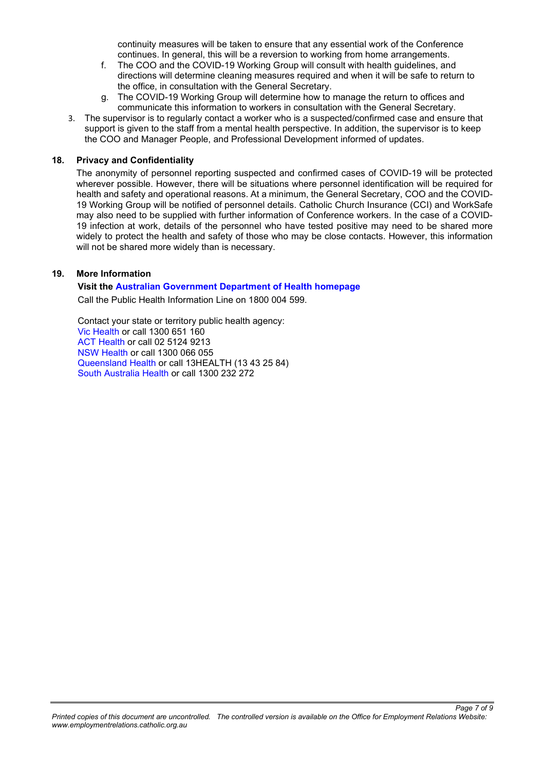continuity measures will be taken to ensure that any essential work of the Conference continues. In general, this will be a reversion to working from home arrangements.

- f. The COO and the COVID-19 Working Group will consult with health guidelines, and directions will determine cleaning measures required and when it will be safe to return to the office, in consultation with the General Secretary.
- g. The COVID-19 Working Group will determine how to manage the return to offices and communicate this information to workers in consultation with the General Secretary.
- 3. The supervisor is to regularly contact a worker who is a suspected/confirmed case and ensure that support is given to the staff from a mental health perspective. In addition, the supervisor is to keep the COO and Manager People, and Professional Development informed of updates.

#### **18. Privacy and Confidentiality**

The anonymity of personnel reporting suspected and confirmed cases of COVID-19 will be protected wherever possible. However, there will be situations where personnel identification will be required for health and safety and operational reasons. At a minimum, the General Secretary, COO and the COVID-19 Working Group will be notified of personnel details. Catholic Church Insurance (CCI) and WorkSafe may also need to be supplied with further information of Conference workers. In the case of a COVID-19 infection at work, details of the personnel who have tested positive may need to be shared more widely to protect the health and safety of those who may be close contacts. However, this information will not be shared more widely than is necessary.

#### **19. More Information**

#### **Visit the [Australian Government Department of Health homepage](http://www.health.gov.au/)**

Call the Public Health Information Line on 1800 004 599.

Contact your state or territory public health agency: [Vic Health](https://www.dhhs.vic.gov.au/information-public-novel-coronavirus) or call 1300 651 160 [ACT Health](https://health.act.gov.au/public-health-alert/information-about-novel-coronavirus) or call 02 5124 9213 [NSW Health](https://www.health.nsw.gov.au/Infectious/alerts/Pages/coronavirus-faqs.aspx) or call 1300 066 055 [Queensland Health](http://disease-control.health.qld.gov.au/condition/837/2019-ncov) or call 13HEALTH (13 43 25 84) [South Australia Health](https://www.sahealth.sa.gov.au/wps/wcm/connect/public+content/sa+health+internet/health+topics/health+topics+a+-+z/novel+coronavirus) or call 1300 232 272

*Page 7 of 9*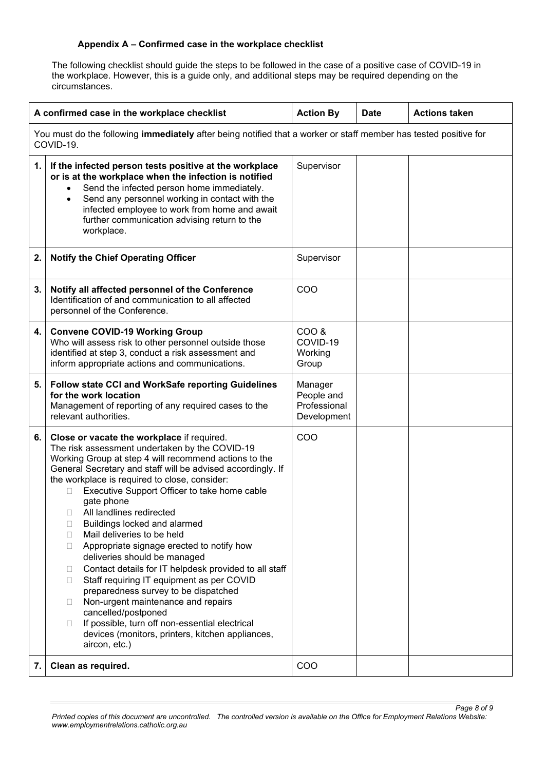## **Appendix A – Confirmed case in the workplace checklist**

The following checklist should guide the steps to be followed in the case of a positive case of COVID-19 in the workplace. However, this is a guide only, and additional steps may be required depending on the circumstances.

| A confirmed case in the workplace checklist                                                                                   |                                                                                                                                                                                                                                                                                                                                                                                                                                                                                                                                                                                                                                                                                                                                                                                                                                                                                                       | <b>Action By</b>                                     | <b>Date</b> | <b>Actions taken</b> |  |  |
|-------------------------------------------------------------------------------------------------------------------------------|-------------------------------------------------------------------------------------------------------------------------------------------------------------------------------------------------------------------------------------------------------------------------------------------------------------------------------------------------------------------------------------------------------------------------------------------------------------------------------------------------------------------------------------------------------------------------------------------------------------------------------------------------------------------------------------------------------------------------------------------------------------------------------------------------------------------------------------------------------------------------------------------------------|------------------------------------------------------|-------------|----------------------|--|--|
| You must do the following immediately after being notified that a worker or staff member has tested positive for<br>COVID-19. |                                                                                                                                                                                                                                                                                                                                                                                                                                                                                                                                                                                                                                                                                                                                                                                                                                                                                                       |                                                      |             |                      |  |  |
| 1.                                                                                                                            | If the infected person tests positive at the workplace<br>or is at the workplace when the infection is notified<br>Send the infected person home immediately.<br>$\bullet$<br>Send any personnel working in contact with the<br>$\bullet$<br>infected employee to work from home and await<br>further communication advising return to the<br>workplace.                                                                                                                                                                                                                                                                                                                                                                                                                                                                                                                                              | Supervisor                                           |             |                      |  |  |
| 2.                                                                                                                            | <b>Notify the Chief Operating Officer</b>                                                                                                                                                                                                                                                                                                                                                                                                                                                                                                                                                                                                                                                                                                                                                                                                                                                             | Supervisor                                           |             |                      |  |  |
| 3.                                                                                                                            | Notify all affected personnel of the Conference<br>Identification of and communication to all affected<br>personnel of the Conference.                                                                                                                                                                                                                                                                                                                                                                                                                                                                                                                                                                                                                                                                                                                                                                | COO                                                  |             |                      |  |  |
| 4.                                                                                                                            | <b>Convene COVID-19 Working Group</b><br>Who will assess risk to other personnel outside those<br>identified at step 3, conduct a risk assessment and<br>inform appropriate actions and communications.                                                                                                                                                                                                                                                                                                                                                                                                                                                                                                                                                                                                                                                                                               | COO &<br>COVID-19<br>Working<br>Group                |             |                      |  |  |
| 5.                                                                                                                            | Follow state CCI and WorkSafe reporting Guidelines<br>for the work location<br>Management of reporting of any required cases to the<br>relevant authorities.                                                                                                                                                                                                                                                                                                                                                                                                                                                                                                                                                                                                                                                                                                                                          | Manager<br>People and<br>Professional<br>Development |             |                      |  |  |
| 6.                                                                                                                            | Close or vacate the workplace if required.<br>The risk assessment undertaken by the COVID-19<br>Working Group at step 4 will recommend actions to the<br>General Secretary and staff will be advised accordingly. If<br>the workplace is required to close, consider:<br>Executive Support Officer to take home cable<br>gate phone<br>All landlines redirected<br>Buildings locked and alarmed<br>□<br>Mail deliveries to be held<br>□<br>Appropriate signage erected to notify how<br>□<br>deliveries should be managed<br>Contact details for IT helpdesk provided to all staff<br>Ш<br>Staff requiring IT equipment as per COVID<br>□<br>preparedness survey to be dispatched<br>Non-urgent maintenance and repairs<br>$\mathbf{L}$<br>cancelled/postponed<br>If possible, turn off non-essential electrical<br>$\mathbf{L}$<br>devices (monitors, printers, kitchen appliances,<br>aircon, etc.) | COO                                                  |             |                      |  |  |
| 7.                                                                                                                            | Clean as required.                                                                                                                                                                                                                                                                                                                                                                                                                                                                                                                                                                                                                                                                                                                                                                                                                                                                                    | COO                                                  |             |                      |  |  |